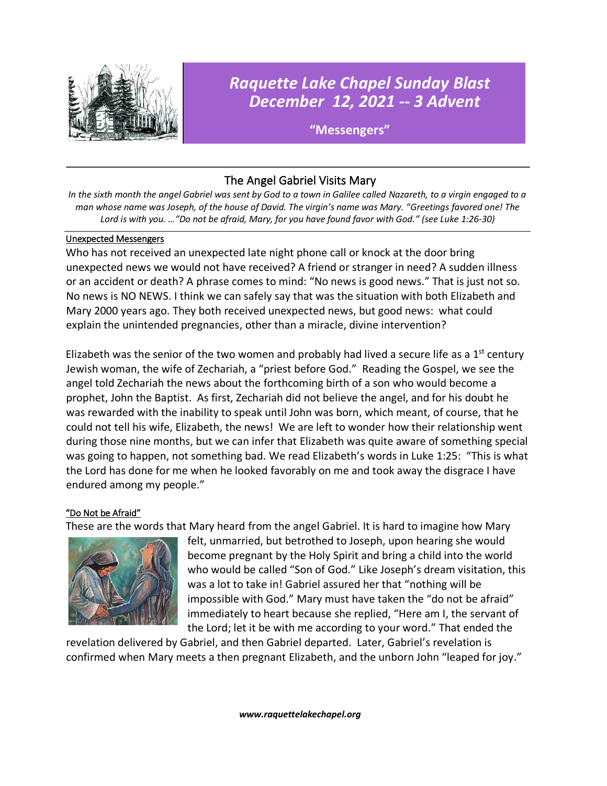

# *Raquette Lake Chapel Sunday Blast December 12, 2021 -- 3 Advent*

**"Messengers"**

# The Angel Gabriel Visits Mary

*In the sixth month the angel Gabriel was sent by God to a town in Galilee called Nazareth, to a virgin engaged to a man whose name was Joseph, of the house of David. The virgin's name was Mary. "Greetings favored one! The Lord is with you. …"Do not be afraid, Mary, for you have found favor with God." (see Luke 1:26-30)*

#### Unexpected Messengers

Who has not received an unexpected late night phone call or knock at the door bring unexpected news we would not have received? A friend or stranger in need? A sudden illness or an accident or death? A phrase comes to mind: "No news is good news." That is just not so. No news is NO NEWS. I think we can safely say that was the situation with both Elizabeth and Mary 2000 years ago. They both received unexpected news, but good news: what could explain the unintended pregnancies, other than a miracle, divine intervention?

Elizabeth was the senior of the two women and probably had lived a secure life as a  $1<sup>st</sup>$  century Jewish woman, the wife of Zechariah, a "priest before God." Reading the Gospel, we see the angel told Zechariah the news about the forthcoming birth of a son who would become a prophet, John the Baptist. As first, Zechariah did not believe the angel, and for his doubt he was rewarded with the inability to speak until John was born, which meant, of course, that he could not tell his wife, Elizabeth, the news! We are left to wonder how their relationship went during those nine months, but we can infer that Elizabeth was quite aware of something special was going to happen, not something bad. We read Elizabeth's words in Luke 1:25: "This is what the Lord has done for me when he looked favorably on me and took away the disgrace I have endured among my people."

## "Do Not be Afraid"

These are the words that Mary heard from the angel Gabriel. It is hard to imagine how Mary



felt, unmarried, but betrothed to Joseph, upon hearing she would become pregnant by the Holy Spirit and bring a child into the world who would be called "Son of God." Like Joseph's dream visitation, this was a lot to take in! Gabriel assured her that "nothing will be impossible with God." Mary must have taken the "do not be afraid" immediately to heart because she replied, "Here am I, the servant of the Lord; let it be with me according to your word." That ended the

revelation delivered by Gabriel, and then Gabriel departed. Later, Gabriel's revelation is confirmed when Mary meets a then pregnant Elizabeth, and the unborn John "leaped for joy."